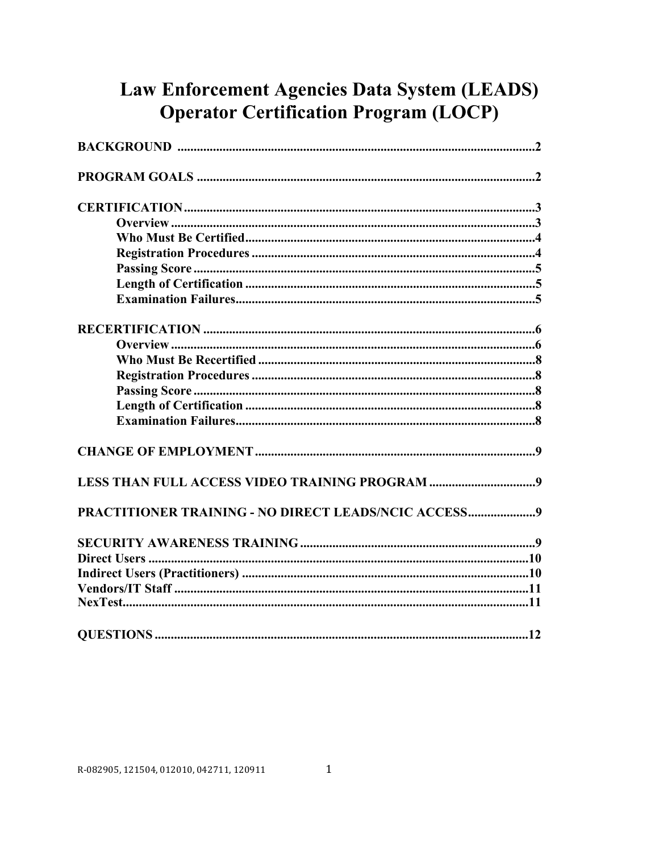# Law Enforcement Agencies Data System (LEADS) **Operator Certification Program (LOCP)**

| PRACTITIONER TRAINING - NO DIRECT LEADS/NCIC ACCESS9 |
|------------------------------------------------------|
|                                                      |
|                                                      |
|                                                      |
|                                                      |
|                                                      |
|                                                      |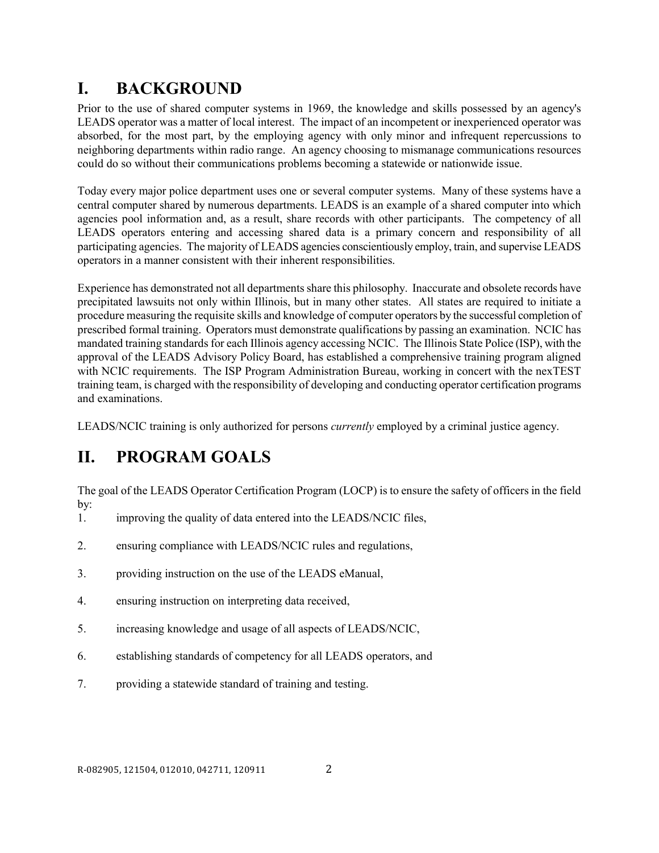# **I. BACKGROUND**

Prior to the use of shared computer systems in 1969, the knowledge and skills possessed by an agency's LEADS operator was a matter of local interest. The impact of an incompetent or inexperienced operator was absorbed, for the most part, by the employing agency with only minor and infrequent repercussions to neighboring departments within radio range. An agency choosing to mismanage communications resources could do so without their communications problems becoming a statewide or nationwide issue.

Today every major police department uses one or several computer systems. Many of these systems have a central computer shared by numerous departments. LEADS is an example of a shared computer into which agencies pool information and, as a result, share records with other participants. The competency of all LEADS operators entering and accessing shared data is a primary concern and responsibility of all participating agencies. The majority of LEADS agencies conscientiously employ, train, and supervise LEADS operators in a manner consistent with their inherent responsibilities.

Experience has demonstrated not all departments share this philosophy. Inaccurate and obsolete records have precipitated lawsuits not only within Illinois, but in many other states. All states are required to initiate a procedure measuring the requisite skills and knowledge of computer operators by the successful completion of prescribed formal training. Operators must demonstrate qualifications by passing an examination. NCIC has mandated training standards for each Illinois agency accessing NCIC. The Illinois State Police (ISP), with the approval of the LEADS Advisory Policy Board, has established a comprehensive training program aligned with NCIC requirements. The ISP Program Administration Bureau, working in concert with the nexTEST training team, is charged with the responsibility of developing and conducting operator certification programs and examinations.

LEADS/NCIC training is only authorized for persons *currently* employed by a criminal justice agency.

# **II. PROGRAM GOALS**

The goal of the LEADS Operator Certification Program (LOCP) is to ensure the safety of officers in the field by:

- 1. improving the quality of data entered into the LEADS/NCIC files,
- 2. ensuring compliance with LEADS/NCIC rules and regulations,
- 3. providing instruction on the use of the LEADS eManual,
- 4. ensuring instruction on interpreting data received,
- 5. increasing knowledge and usage of all aspects of LEADS/NCIC,
- 6. establishing standards of competency for all LEADS operators, and
- 7. providing a statewide standard of training and testing.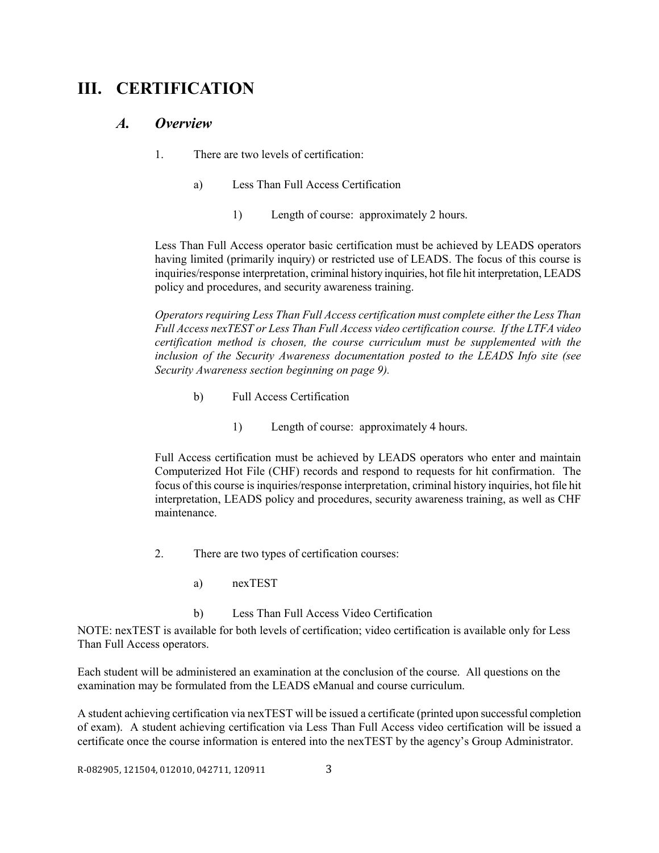## **III. CERTIFICATION**

#### *A. Overview*

- 1. There are two levels of certification:
	- a) Less Than Full Access Certification
		- 1) Length of course: approximately 2 hours.

Less Than Full Access operator basic certification must be achieved by LEADS operators having limited (primarily inquiry) or restricted use of LEADS. The focus of this course is inquiries/response interpretation, criminal history inquiries, hot file hit interpretation, LEADS policy and procedures, and security awareness training.

*Operators requiring Less Than Full Access certification must complete either the Less Than Full Access nexTEST or Less Than Full Access video certification course. If the LTFA video certification method is chosen, the course curriculum must be supplemented with the inclusion of the Security Awareness documentation posted to the LEADS Info site (see Security Awareness section beginning on page 9).* 

- b) Full Access Certification
	- 1) Length of course: approximately 4 hours.

Full Access certification must be achieved by LEADS operators who enter and maintain Computerized Hot File (CHF) records and respond to requests for hit confirmation. The focus of this course is inquiries/response interpretation, criminal history inquiries, hot file hit interpretation, LEADS policy and procedures, security awareness training, as well as CHF maintenance.

- 2. There are two types of certification courses:
	- a) nexTEST

#### b) Less Than Full Access Video Certification

NOTE: nexTEST is available for both levels of certification; video certification is available only for Less Than Full Access operators.

Each student will be administered an examination at the conclusion of the course. All questions on the examination may be formulated from the LEADS eManual and course curriculum.

A student achieving certification via nexTEST will be issued a certificate (printed upon successful completion of exam). A student achieving certification via Less Than Full Access video certification will be issued a certificate once the course information is entered into the nexTEST by the agency's Group Administrator.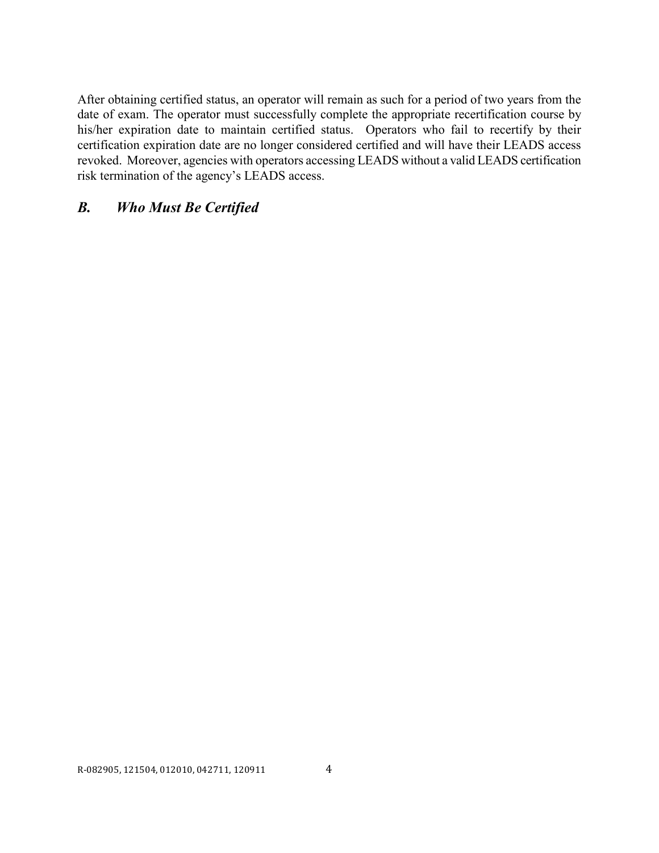After obtaining certified status, an operator will remain as such for a period of two years from the date of exam. The operator must successfully complete the appropriate recertification course by his/her expiration date to maintain certified status. Operators who fail to recertify by their certification expiration date are no longer considered certified and will have their LEADS access revoked. Moreover, agencies with operators accessing LEADS without a valid LEADS certification risk termination of the agency's LEADS access.

#### *B. Who Must Be Certified*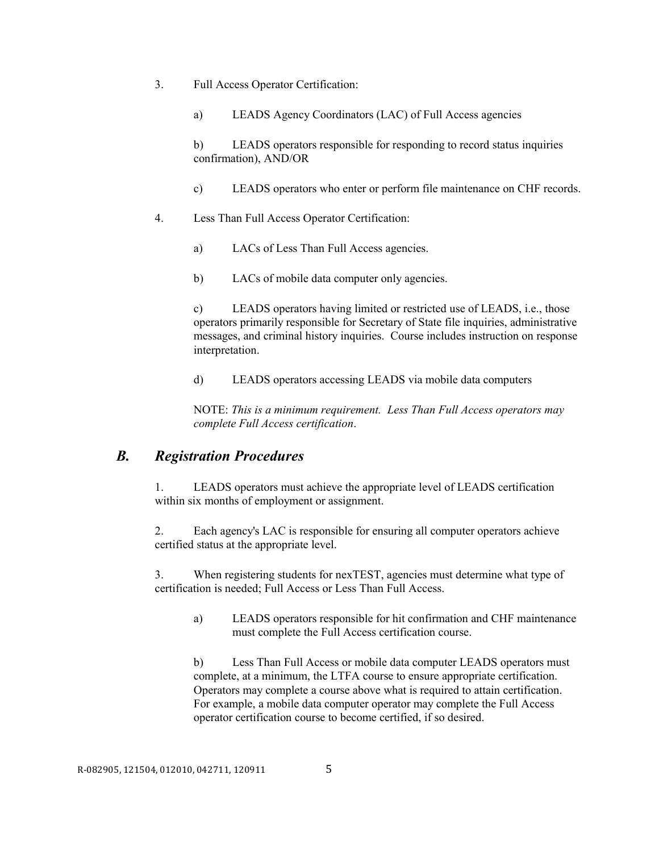- 3. Full Access Operator Certification:
	- a) LEADS Agency Coordinators (LAC) of Full Access agencies

b) LEADS operators responsible for responding to record status inquiries confirmation), AND/OR

- c) LEADS operators who enter or perform file maintenance on CHF records.
- 4. Less Than Full Access Operator Certification:
	- a) LACs of Less Than Full Access agencies.
	- b) LACs of mobile data computer only agencies.

c) LEADS operators having limited or restricted use of LEADS, i.e., those operators primarily responsible for Secretary of State file inquiries, administrative messages, and criminal history inquiries. Course includes instruction on response interpretation.

d) LEADS operators accessing LEADS via mobile data computers

NOTE: *This is a minimum requirement. Less Than Full Access operators may complete Full Access certification*.

#### *B. Registration Procedures*

1. LEADS operators must achieve the appropriate level of LEADS certification within six months of employment or assignment.

2. Each agency's LAC is responsible for ensuring all computer operators achieve certified status at the appropriate level.

3. When registering students for nexTEST, agencies must determine what type of certification is needed; Full Access or Less Than Full Access.

a) LEADS operators responsible for hit confirmation and CHF maintenance must complete the Full Access certification course.

b) Less Than Full Access or mobile data computer LEADS operators must complete, at a minimum, the LTFA course to ensure appropriate certification. Operators may complete a course above what is required to attain certification. For example, a mobile data computer operator may complete the Full Access operator certification course to become certified, if so desired.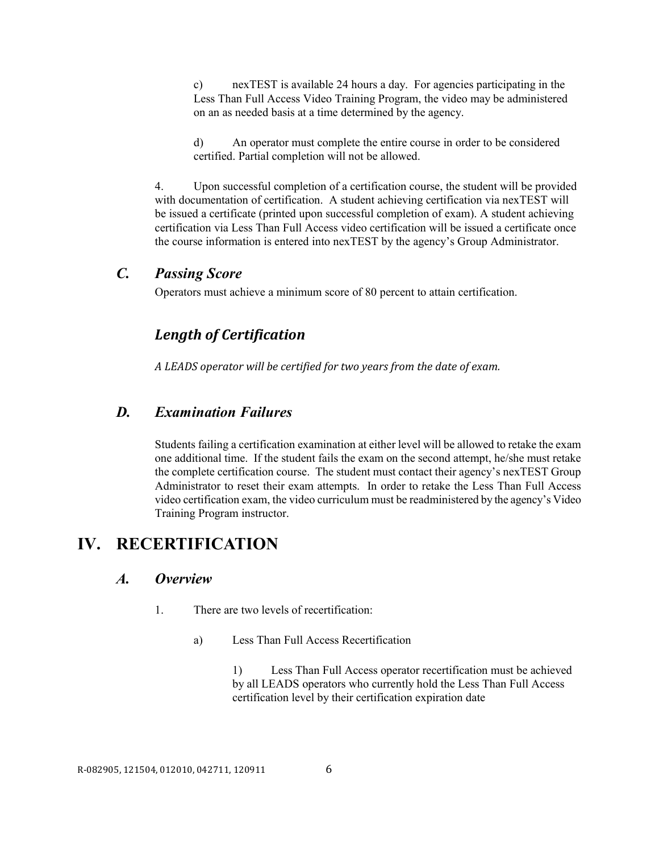c) nexTEST is available 24 hours a day. For agencies participating in the Less Than Full Access Video Training Program, the video may be administered on an as needed basis at a time determined by the agency.

d) An operator must complete the entire course in order to be considered certified. Partial completion will not be allowed.

4. Upon successful completion of a certification course, the student will be provided with documentation of certification. A student achieving certification via nexTEST will be issued a certificate (printed upon successful completion of exam). A student achieving certification via Less Than Full Access video certification will be issued a certificate once the course information is entered into nexTEST by the agency's Group Administrator.

#### *C. Passing Score*

Operators must achieve a minimum score of 80 percent to attain certification.

## *Length of Certification*

*A LEADS operator will be certified for two years from the date of exam.*

#### *D. Examination Failures*

Students failing a certification examination at either level will be allowed to retake the exam one additional time. If the student fails the exam on the second attempt, he/she must retake the complete certification course. The student must contact their agency's nexTEST Group Administrator to reset their exam attempts. In order to retake the Less Than Full Access video certification exam, the video curriculum must be readministered by the agency's Video Training Program instructor.

## **IV. RECERTIFICATION**

#### *A. Overview*

- 1. There are two levels of recertification:
	- a) Less Than Full Access Recertification

1) Less Than Full Access operator recertification must be achieved by all LEADS operators who currently hold the Less Than Full Access certification level by their certification expiration date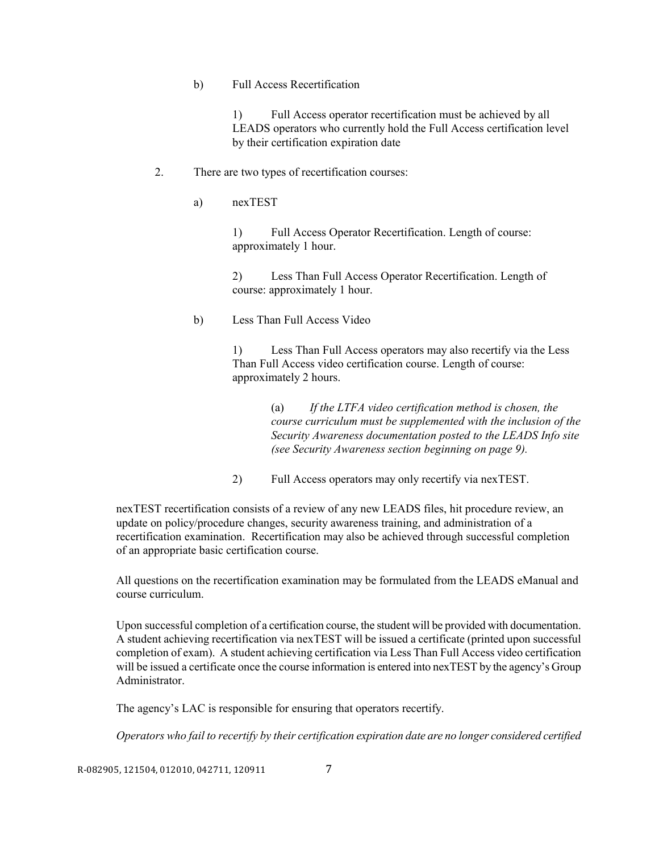#### b) Full Access Recertification

1) Full Access operator recertification must be achieved by all LEADS operators who currently hold the Full Access certification level by their certification expiration date

#### 2. There are two types of recertification courses:

a) nexTEST

1) Full Access Operator Recertification. Length of course: approximately 1 hour.

2) Less Than Full Access Operator Recertification. Length of course: approximately 1 hour.

#### b) Less Than Full Access Video

1) Less Than Full Access operators may also recertify via the Less Than Full Access video certification course. Length of course: approximately 2 hours.

> (a) *If the LTFA video certification method is chosen, the course curriculum must be supplemented with the inclusion of the Security Awareness documentation posted to the LEADS Info site (see Security Awareness section beginning on page 9).*

2) Full Access operators may only recertify via nexTEST.

nexTEST recertification consists of a review of any new LEADS files, hit procedure review, an update on policy/procedure changes, security awareness training, and administration of a recertification examination. Recertification may also be achieved through successful completion of an appropriate basic certification course.

All questions on the recertification examination may be formulated from the LEADS eManual and course curriculum.

Upon successful completion of a certification course, the student will be provided with documentation. A student achieving recertification via nexTEST will be issued a certificate (printed upon successful completion of exam). A student achieving certification via Less Than Full Access video certification will be issued a certificate once the course information is entered into nexTEST by the agency's Group Administrator.

The agency's LAC is responsible for ensuring that operators recertify.

*Operators who fail to recertify by their certification expiration date are no longer considered certified* 

R-082905, 121504, 012010, 042711, 120911 7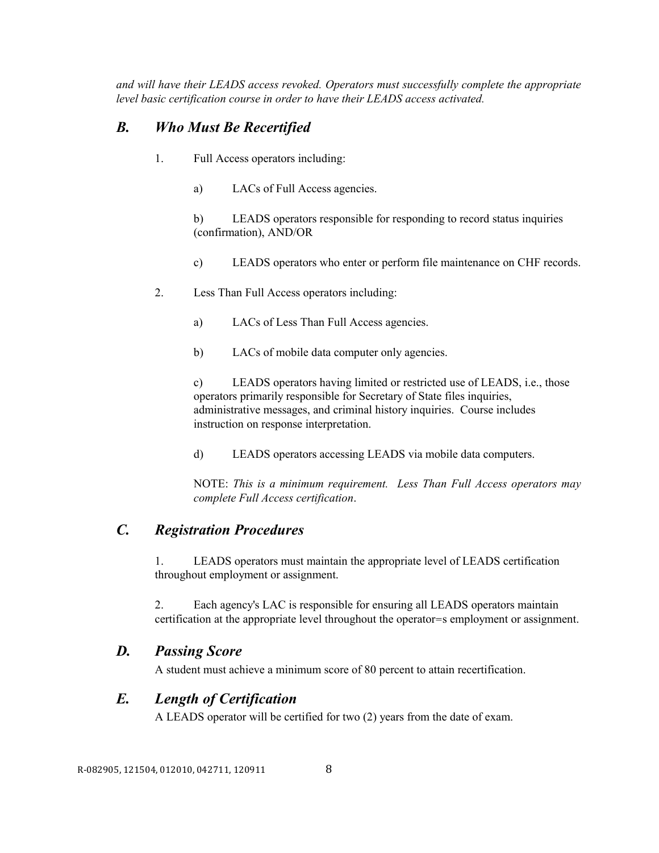*and will have their LEADS access revoked. Operators must successfully complete the appropriate level basic certification course in order to have their LEADS access activated.* 

## *B. Who Must Be Recertified*

- 1. Full Access operators including:
	- a) LACs of Full Access agencies.

b) LEADS operators responsible for responding to record status inquiries (confirmation), AND/OR

c) LEADS operators who enter or perform file maintenance on CHF records.

- 2. Less Than Full Access operators including:
	- a) LACs of Less Than Full Access agencies.
	- b) LACs of mobile data computer only agencies.

c) LEADS operators having limited or restricted use of LEADS, i.e., those operators primarily responsible for Secretary of State files inquiries, administrative messages, and criminal history inquiries. Course includes instruction on response interpretation.

d) LEADS operators accessing LEADS via mobile data computers.

NOTE: *This is a minimum requirement. Less Than Full Access operators may complete Full Access certification*.

## *C. Registration Procedures*

1. LEADS operators must maintain the appropriate level of LEADS certification throughout employment or assignment.

2. Each agency's LAC is responsible for ensuring all LEADS operators maintain certification at the appropriate level throughout the operator=s employment or assignment.

### *D. Passing Score*

A student must achieve a minimum score of 80 percent to attain recertification.

### *E. Length of Certification*

A LEADS operator will be certified for two (2) years from the date of exam.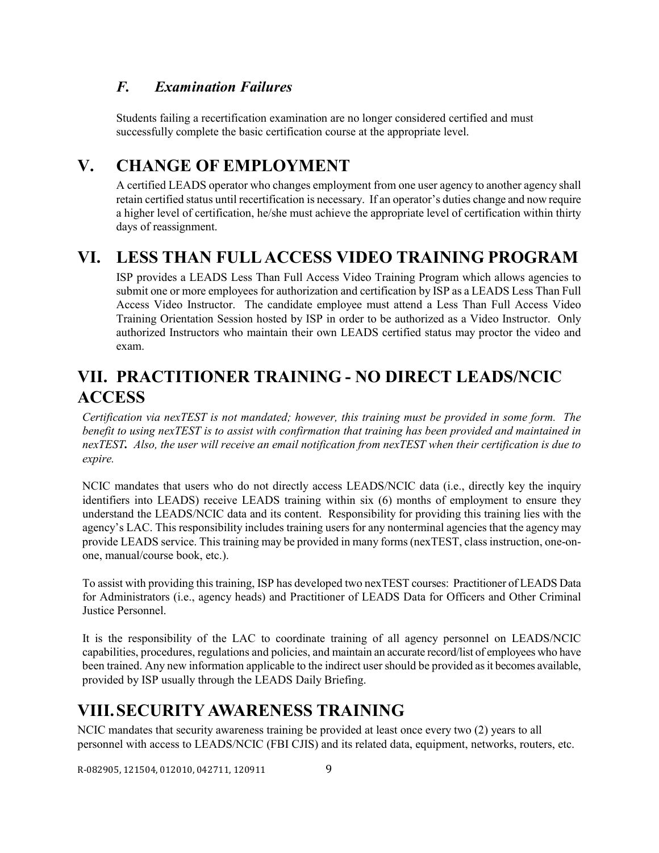## *F. Examination Failures*

Students failing a recertification examination are no longer considered certified and must successfully complete the basic certification course at the appropriate level.

# **V. CHANGE OF EMPLOYMENT**

A certified LEADS operator who changes employment from one user agency to another agency shall retain certified status until recertification is necessary. If an operator's duties change and now require a higher level of certification, he/she must achieve the appropriate level of certification within thirty days of reassignment.

# **VI. LESS THAN FULL ACCESS VIDEO TRAINING PROGRAM**

ISP provides a LEADS Less Than Full Access Video Training Program which allows agencies to submit one or more employees for authorization and certification by ISP as a LEADS Less Than Full Access Video Instructor. The candidate employee must attend a Less Than Full Access Video Training Orientation Session hosted by ISP in order to be authorized as a Video Instructor. Only authorized Instructors who maintain their own LEADS certified status may proctor the video and exam.

# **VII. PRACTITIONER TRAINING - NO DIRECT LEADS/NCIC ACCESS**

 *Certification via nexTEST is not mandated; however, this training must be provided in some form. The benefit to using nexTEST is to assist with confirmation that training has been provided and maintained in nexTEST. Also, the user will receive an email notification from nexTEST when their certification is due to expire.* 

 NCIC mandates that users who do not directly access LEADS/NCIC data (i.e., directly key the inquiry identifiers into LEADS) receive LEADS training within six (6) months of employment to ensure they understand the LEADS/NCIC data and its content. Responsibility for providing this training lies with the agency's LAC. This responsibility includes training users for any nonterminal agencies that the agency may provide LEADS service. This training may be provided in many forms (nexTEST, class instruction, one-onone, manual/course book, etc.).

 To assist with providing this training, ISP has developed two nexTEST courses: Practitioner of LEADS Data for Administrators (i.e., agency heads) and Practitioner of LEADS Data for Officers and Other Criminal Justice Personnel.

 It is the responsibility of the LAC to coordinate training of all agency personnel on LEADS/NCIC capabilities, procedures, regulations and policies, and maintain an accurate record/list of employees who have been trained. Any new information applicable to the indirect user should be provided as it becomes available, provided by ISP usually through the LEADS Daily Briefing.

# **VIII.SECURITY AWARENESS TRAINING**

NCIC mandates that security awareness training be provided at least once every two (2) years to all personnel with access to LEADS/NCIC (FBI CJIS) and its related data, equipment, networks, routers, etc.

R-082905, 121504, 012010, 042711, 120911 9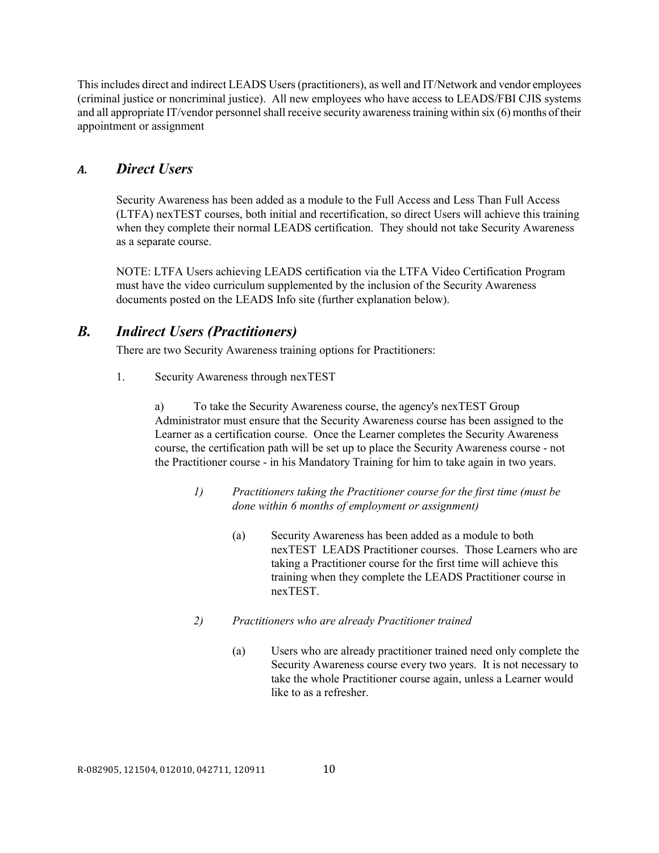This includes direct and indirect LEADS Users (practitioners), as well and IT/Network and vendor employees (criminal justice or noncriminal justice). All new employees who have access to LEADS/FBI CJIS systems and all appropriate IT/vendor personnel shall receive security awareness training within six (6) months of their appointment or assignment

#### *A. Direct Users*

Security Awareness has been added as a module to the Full Access and Less Than Full Access (LTFA) nexTEST courses, both initial and recertification, so direct Users will achieve this training when they complete their normal LEADS certification. They should not take Security Awareness as a separate course.

NOTE: LTFA Users achieving LEADS certification via the LTFA Video Certification Program must have the video curriculum supplemented by the inclusion of the Security Awareness documents posted on the LEADS Info site (further explanation below).

### *B. Indirect Users (Practitioners)*

There are two Security Awareness training options for Practitioners:

1. Security Awareness through nexTEST

a) To take the Security Awareness course, the agency's nexTEST Group Administrator must ensure that the Security Awareness course has been assigned to the Learner as a certification course. Once the Learner completes the Security Awareness course, the certification path will be set up to place the Security Awareness course - not the Practitioner course - in his Mandatory Training for him to take again in two years.

- *1) Practitioners taking the Practitioner course for the first time (must be done within 6 months of employment or assignment)*
	- (a) Security Awareness has been added as a module to both nexTEST LEADS Practitioner courses. Those Learners who are taking a Practitioner course for the first time will achieve this training when they complete the LEADS Practitioner course in nexTEST.
- *2) Practitioners who are already Practitioner trained*
	- (a) Users who are already practitioner trained need only complete the Security Awareness course every two years. It is not necessary to take the whole Practitioner course again, unless a Learner would like to as a refresher.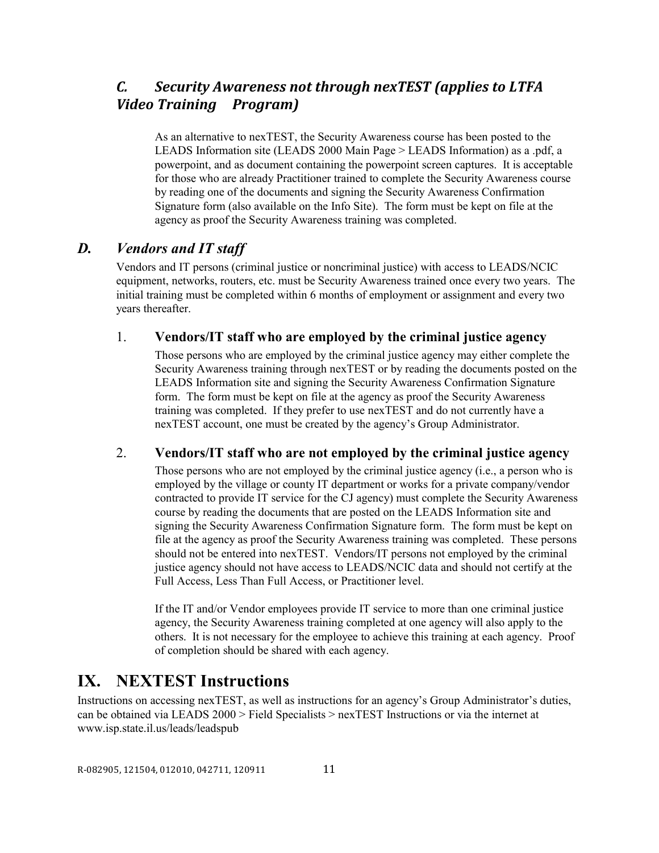## *C. Security Awareness not through nexTEST (applies to LTFA Video Training Program)*

As an alternative to nexTEST, the Security Awareness course has been posted to the LEADS Information site (LEADS 2000 Main Page > LEADS Information) as a .pdf, a powerpoint, and as document containing the powerpoint screen captures. It is acceptable for those who are already Practitioner trained to complete the Security Awareness course by reading one of the documents and signing the Security Awareness Confirmation Signature form (also available on the Info Site). The form must be kept on file at the agency as proof the Security Awareness training was completed.

### *D. Vendors and IT staff*

Vendors and IT persons (criminal justice or noncriminal justice) with access to LEADS/NCIC equipment, networks, routers, etc. must be Security Awareness trained once every two years. The initial training must be completed within 6 months of employment or assignment and every two years thereafter.

#### 1. **Vendors/IT staff who are employed by the criminal justice agency**

Those persons who are employed by the criminal justice agency may either complete the Security Awareness training through nexTEST or by reading the documents posted on the LEADS Information site and signing the Security Awareness Confirmation Signature form. The form must be kept on file at the agency as proof the Security Awareness training was completed. If they prefer to use nexTEST and do not currently have a nexTEST account, one must be created by the agency's Group Administrator.

#### 2. **Vendors/IT staff who are not employed by the criminal justice agency**

Those persons who are not employed by the criminal justice agency (i.e., a person who is employed by the village or county IT department or works for a private company/vendor contracted to provide IT service for the CJ agency) must complete the Security Awareness course by reading the documents that are posted on the LEADS Information site and signing the Security Awareness Confirmation Signature form. The form must be kept on file at the agency as proof the Security Awareness training was completed. These persons should not be entered into nexTEST. Vendors/IT persons not employed by the criminal justice agency should not have access to LEADS/NCIC data and should not certify at the Full Access, Less Than Full Access, or Practitioner level.

If the IT and/or Vendor employees provide IT service to more than one criminal justice agency, the Security Awareness training completed at one agency will also apply to the others. It is not necessary for the employee to achieve this training at each agency. Proof of completion should be shared with each agency.

## **IX. NEXTEST Instructions**

Instructions on accessing nexTEST, as well as instructions for an agency's Group Administrator's duties, can be obtained via LEADS 2000 > Field Specialists > nexTEST Instructions or via the internet at www.isp.state.il.us/leads/leadspub